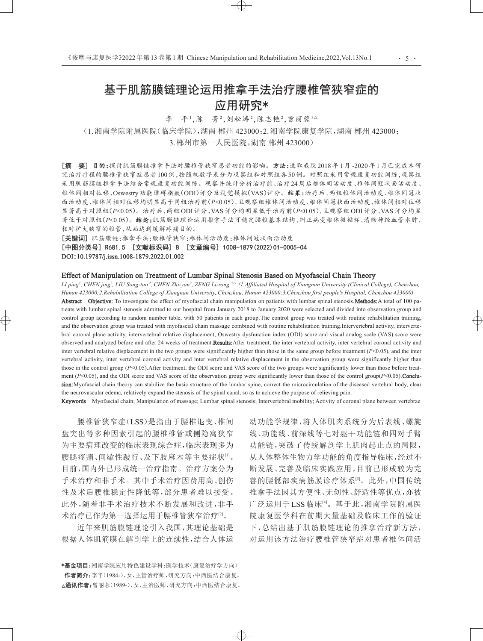# 基于肌筋膜链理论运用推拿手法治疗腰椎管狭窄症的 应用研究\*

李 平1,陈 菁2,刘松涛2,陈志艳2,曾丽蓉3△

(1.湘南学院附属医院(临床学院),湖南 郴州 423000;2.湘南学院康复学院,湖南 郴州 423000;

3.郴州市第一人民医院,湖南 郴州 423000)

[摘 要] 目的:探讨肌筋膜链推拿手法对腰椎管狭窄患者功能的影响。方法:选取我院2018年1月~2020年1月已完成本研 究治疗疗程的腰椎管狭窄症患者100例,按随机数字表分为观察组和对照组各50例。对照组采用常规康复功能训练,观察组 采用肌筋膜链推拿手法结合常规康复功能训练。观察并统计分析治疗前、治疗24周后椎体间活动度、椎体间冠状面活动度、 椎体间相对位移、Oswestry功能障碍指数(ODI)评分及视觉模拟(VAS)评分。结果:治疗后,两组椎体间活动度、椎体间冠状 面活动度、椎体间相对位移均明显高于同组治疗前(*P*<0.05),且观察组椎体间活动度、椎体间冠状面活动度、椎体间相对位移 显著高于对照组(*P*<0.05)。治疗后,两组ODI评分、VAS评分均明显低于治疗前(*P*<0.05),且观察组ODI评分、VAS评分均显 著低于对照组(P<0.05)。结论:肌筋膜链理论运用推拿手法可稳定腰椎基本结构,纠正病变椎体微循环,清除神经血管水肿, 相对扩大狭窄的椎管,从而达到缓解疼痛目的。

[关键词] 肌筋膜链;推拿手法;腰椎管狭窄;椎体间活动度;椎体间冠状面活动度

[中图分类号] R681.5 [文献标识码] B [文章编号] 1008-1879(2022)01-0005-04 DOI:10.19787/j.issn.1008-1879.2022.01.002

#### Effect of Manipulation on Treatment of Lumbar Spinal Stenosis Based on Myofascial Chain Theory

LI ping<sup>1</sup>, CHEN jing<sup>2</sup>, LIU Song-tao<sup>2</sup>, CHEN Zhi-yan<sup>2</sup>, ZENG Li-rong <sup>3</sup>∆ (1.Affiliated Hospital of Xiangnan University (Clinical College), Chenzhou, *Hunan 423000;2.Rehabilitation College of Xiangnan University, Chenzhou, Hunan 423000;3.Chenzhou first people's Hospital, Chenzhou 423000)* Abstract Objective: To investigate the effect of myofascial chain manipulation on patients with lumbar spinal stenosis. Methods: A total of 100 patients with lumbar spinal stenosis admitted to our hospital from January 2018 to January 2020 were selected and divided into observation group and control group according to random number table, with 50 patients in each group.The control group was treated with routine rehabilitation training, and the observation group was treated with myofascial chain massage combined with routine rehabilitation training.Intervertebral activity, intervertebral coronal plane activity, intervertebral relative displacement, Oswestry dysfunction index (ODI) score and visual analog scale (VAS) score were observed and analyzed before and after 24 weeks of treatment.Results:After treatment, the inter vertebral activity, inter vertebral coronal activity and inter vertebral relative displacement in the two groups were significantly higher than those in the same group before treatment (*P*<0.05), and the inter vertebral activity, inter vertebral coronal activity and inter vertebral relative displacement in the observation group were significantly higher than those in the control group (*P*<0.05). After treatment, the ODI score and VAS score of the two groups were significantly lower than those before treatment ( $P<0.05$ ), and the ODI score and VAS score of the observation group were significantly lower than those of the control group( $P<0.05$ ). Conclusion: Myofascial chain theory can stabilize the basic structure of the lumbar spine, correct the microcirculation of the diseased vertebral body, clear the neurovascular edema, relatively expand the stenosis of the spinal canal, so as to achieve the purpose of relieving pain.

Keywords Myofascial chain; Manipulation of massage; Lumbar spinal stenosis; Intervertebral mobility; Activity of coronal plane between vertebrae

 $\overline{\bigoplus}$ 

腰椎管狭窄症(LSS)是指由于腰椎退变、椎间 盘突出等多种因素引起的腰椎椎管或侧隐窝狭窄 为主要病理改变的临床表现综合症,临床表现多为 腰腿疼痛、间歇性跛行、及下肢麻木等主要症状[1]。 目前,国内外已形成统一治疗指南。治疗方案分为 手术治疗和非手术。其中手术治疗因费用高、创伤 性及术后腰椎稳定性降低等,部分患者难以接受。 此外,随着非手术治疗技术不断发展和改进,非手 术治疗已作为第一选择运用于腰椎管狭窄治疗四。

近年来肌筋膜链理论引入我国,其理论基础是 根据人体肌筋膜在解剖学上的连续性,结合人体运 动功能学规律,将人体肌肉系统分为后表线、螺旋 线、功能线、前深线等七对躯干功能链和四对手臂 功能链,突破了传统解剖学上肌肉起止点的局限, 从人体整体生物力学功能的角度指导临床,经过不 断发展、完善及临床实践应用,目前已形成较为完 善的腰骶部疾病筋膜诊疗体系[3]。此外,中国传统 推拿手法因其方便性、无创性、舒适性等优点,亦被 广泛运用于 LSS 临床[4] 。基于此,湘南学院附属医 院康复医学科在前期大量基础及临床工作的验证 下,总结出基于肌筋膜链理论的推拿治疗新方法, 对运用该方法治疗腰椎管狭窄症对患者椎体间活

<sup>\*</sup>基金项目:湘南学院应用特色建设学科:医学技术(康复治疗学方向) 作者简介:李平(1984-),女,主管治疗师,研究方向:中西医结合康复。 △通讯作者:曾丽蓉(1989-),女,主治医师,研究方向:中西医结合康复。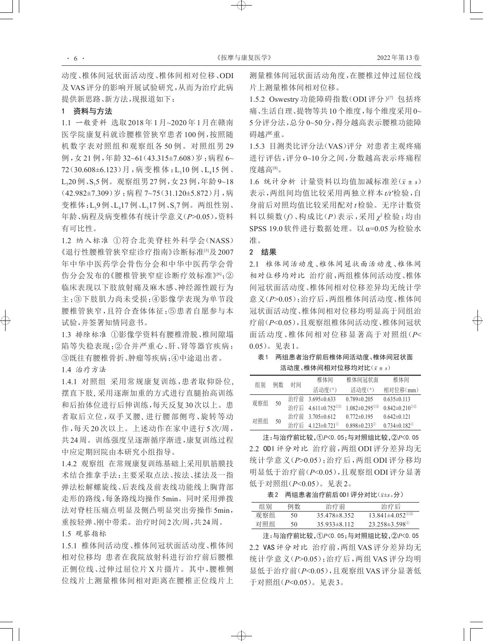动度、椎体间冠状面活动度、椎体间相对位移、ODI 及VAS评分的影响开展试验研究,从而为治疗此病 提供新思路、新方法,现报道如下:

# 1 资料与方法

1.1 一般资料 选取2018年1月~2020年1月在赣南 医学院康复科就诊腰椎管狭窄患者 100 例,按照随 机数字表对照组和观察组各 50 例。对照组男 29 例,女 21 例,年龄 32~61(43.315±7.608)岁;病程 6~ 72(30.608±6.123)月,病变椎体:L<sub>3</sub>10例、L<sub>4</sub>15例、 L<sub>3</sub>20例、S<sub>1</sub>5例。观察组男27例,女23例,年龄9~18 (42.982±7.309)岁;病程 7~75(31.120±5.872)月,病 变椎体:L,9例、L17例、L,17例、S,7例。两组性别、 年龄、病程及病变椎体有统计学意义(*P*>0.05),资料 有可比性。

1.2 纳入标准 ①符合北美脊柱外科学会(NASS) 《退行性腰椎管狭窄症诊疗指南》诊断标准[5]及2007 年中华中医药学会骨伤分会和中华中医药学会骨 伤分会发布的《腰椎管狭窄症诊断疗效标准》<sup>61</sup>;② 临床表现以下肢放射痛及麻木感、神经源性跛行为 主;③下肢肌力尚未受损;④影像学表现为单节段 腰椎管狭窄,且符合查体体征;⑤患者自愿参与本 试验,并签署知情同意书。

1.3 排除标准 ①影像学资料有腰椎滑脱、椎间隙塌 陷等失稳表现;②合并严重心、肝、肾等器官疾病; ③既往有腰椎骨折、肿瘤等疾病;④中途退出者。

1.4 治疗方法

1.4.1 对照组 采用常规康复训练,患者取仰卧位, 摆直下肢, 采用逐渐加重的方式进行直腿抬高训练 和后抬体位进行后伸训练,每天反复30次以上。患 者取后立位,双手叉腰, 进行腰部侧弯、旋转等动 作,每天 20 次以上。上述动作在家中进行 5 次/周, 共24周。训练强度呈逐渐循序渐进,康复训练过程 中应定期回院由本研究小组指导。

1.4.2 观察组 在常规康复训练基础上采用肌筋膜技 术结合推拿手法:主要采取点法、按法、揉法及一指 弹法松解螺旋线、后表线及前表线功能线上胸背部 走形的路线,每条路线均操作 5min。同时采用弹拨 法对脊柱压痛点明显及侧凸明显突出旁操作 5min, 重按轻弹、刚中带柔。治疗时间2次/周,共24周。

## 1.5 观察指标

1.5.1 椎体间活动度、椎体间冠状面活动度、椎体间 相对位移均 患者在我院放射科进行治疗前后腰椎 正侧位线、过伸过屈位片 X 片摄片。其中,腰椎侧 位线片上测量椎体间相对距离在腰椎正位线片上

测量椎体间冠状面活动角度,在腰椎过伸过屈位线 片上测量椎体间相对位移。

1.5.2 Oswestry 功能障碍指数(ODI评分)[7] 包括疼 痛、生活自理、提物等共10个维度,每个维度采用0~ 5分评分法,总分0~50分,得分越高表示腰椎功能障 碍越严重。

1.5.3 目测类比评分法(VAS)评分 对患者主观疼痛 进行评估,评分 0~10 分之间,分数越高表示疼痛程 度越高[8]。

1.6 统计分析 计量资料以均值加减标准差(*x*ˉ ± *s*) 表示,两组间均值比较采用两独立样本 *t/t′*检验,自 身前后对照均值比较采用配对 *t*检验。无序计数资 料以频数(*f*)、构成比(*P*)表示,采用 *χ*<sup>2</sup>检验;均由 SPSS 19.0 软件进行数据处理。以 α=0.05 为检验水 准。

### 2 结果

 $\rightarrow$ 

2.1 椎体间活动度、椎体间冠状面活动度、椎体间 相对位移均对比 治疗前,两组椎体间活动度、椎体 间冠状面活动度、椎体间相对位移差异均无统计学 意义(*P*>0.05);治疗后,两组椎体间活动度、椎体间 冠状面活动度、椎体间相对位移均明显高于同组治 疗前(*P*<0.05),且观察组椎体间活动度、椎体间冠状 面活动度、椎体间相对位移显著高于对照组(*P*< 0.05)。见表1。

## 表1 两组患者治疗前后椎体间活动度、椎体间冠状面 活动度、椎体间相对位移均对比(*x*ˉ ± *s*)

| 组别  | 例数 | 时间  | 椎体间                           | 椎体间冠状面                              | 椎体间                                 |
|-----|----|-----|-------------------------------|-------------------------------------|-------------------------------------|
|     |    |     | 活动度(°)                        | 活动度(°)                              | 相对位移(mm)                            |
| 观察组 | 50 | 治疗前 | $3.695 \pm 0.633$             | $0.789 \pm 0.205$                   | $0.635\pm0.113$                     |
|     |    |     | 治疗后 4.611±0.752 <sup>①②</sup> | $1.082 \pm 0.295$ <sup>(1)(2)</sup> | $0.842 \pm 0.210$ <sup>(1)(2)</sup> |
| 对照组 | 50 | 治疗前 | $3.705 \pm 0.612$             | $0.772\pm0.195$                     | $0.642\pm0.121$                     |
|     |    |     | 治疗后 4.123±0.721 <sup>0</sup>  | $0.898 \pm 0.233$ <sup>(1)</sup>    | $0.734 \pm 0.182$ <sup>(1)</sup>    |

注:与治疗前比较,①*P*<0.05;与对照组比较,②*P*<0.05 2.2 ODI 评分对比 治疗前,两组 ODI评分差异均无 统计学意义(*P*>0.05);治疗后,两组 ODI 评分移均 明显低于治疗前(*P*<0.05),且观察组 ODI评分显著 低于对照组(*P*<0.05)。见表2。

表2 两组患者治疗前后 0D | 评分对比(x±s,分)

| 组别  | 例数 | 治疗前                | 治疗后                               |  |
|-----|----|--------------------|-----------------------------------|--|
| 观察组 | 50 | $35.478 \pm 8.352$ | $13.841\pm4.052$ <sup>02</sup>    |  |
| 对照组 | 50 | $35.933\pm8.112$   | $23.258 \pm 3.598$ <sup>(1)</sup> |  |

注:与治疗前比较,①*P*<0.05;与对照组比较,②*P*<0.05 2.2 VAS评分对比 治疗前,两组 VAS评分差异均无 统计学意义(*P*>0.05);治疗后,两组 VAS 评分均明 显低于治疗前(*P*<0.05),且观察组 VAS评分显著低 于对照组(*P*<0.05)。见表3。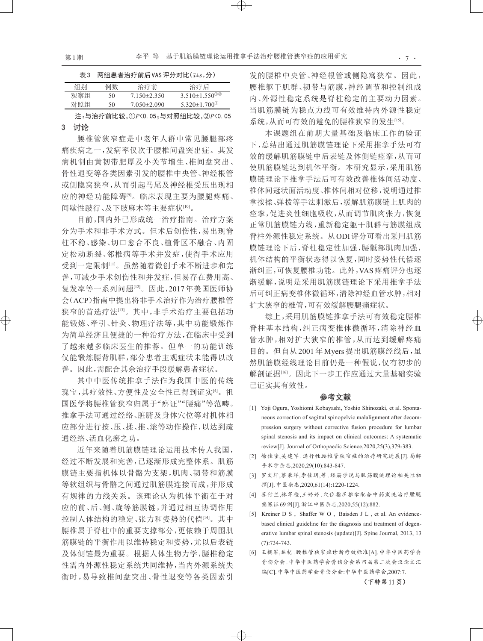| 表3  |    | 两组患者治疗前后VAS评分对比(x+s,分) |                                               |
|-----|----|------------------------|-----------------------------------------------|
| 组别  | 例数 | 治疗前                    | 治疗后                                           |
| 观察组 | 50 | $7.150\pm2.350$        | $3.510\pm1.550$ <sup>(1)</sup> <sup>(2)</sup> |
| 对照组 | 50 | $7.050 \pm 2.090$      | $5.320 \pm 1.700$ <sup>(1)</sup>              |

注:与治疗前比较,①*P*<0.05;与对照组比较,②*P*<0.05

# 3 讨论

腰椎管狭窄症是中老年人群中常见腰腿部疼 痛疾病之一,发病率仅次于腰椎间盘突出症。其发 病机制由黄韧带肥厚及小关节增生、椎间盘突出、 骨性退变等各类因素引发的腰椎中央管、神经根管 或侧隐窝狭窄,从而引起马尾及神经根受压出现相 应的神经功能障碍<sup>[9]</sup>。临床表现主要为腰腿疼痛、 间歇性跛行、及下肢麻木等主要症状[10] 。

目前,国内外已形成统一治疗指南。治疗方案 分为手术和非手术方式。但术后创伤性,易出现脊 柱不稳、感染、切口愈合不良、植骨区不融合、内固 定松动断裂、邻椎病等手术并发症,使得手术应用 受到一定限制[11] 。虽然随着微创手术不断进步和完 善,可减少手术创伤性和并发症,但易存在费用高、 复发率等一系列问题[12] 。因此,2017年美国医师协 会(ACP)指南中提出将非手术治疗作为治疗腰椎管 狭窄的首选疗法[13] 。其中,非手术治疗主要包括功 能锻炼、牵引、针灸、物理疗法等,其中功能锻炼作 为简单经济且便捷的一种治疗方法,在临床中受到 了越来越多临床医生的推荐。但单一的功能训练 仅能锻炼腰背肌群,部分患者主观症状未能得以改 善。因此,需配合其余治疗手段缓解患者症状。

其中中医传统推拿手法作为我国中医的传统 瑰宝,其疗效性、方便性及安全性已得到证实[4]。 祖 国医学将腰椎管狭窄归属于"痹证""腰痛"等范畴。 推拿手法可通过经络、脏腑及身体穴位等对机体相 应部分进行按、压、揉、推、滚等动作操作,以达到疏 通经络、活血化瘀之功。

近年来随着肌筋膜链理论运用技术传人我国, 经过不断发展和完善,已逐渐形成完整体系。肌筋 膜链主要指机体以骨骼为支架,肌肉、韧带和筋膜 等软组织与骨骼之间通过肌筋膜连接而成,并形成 有规律的力线关系。该理论认为机体平衡在于对 应的前、后、侧、旋等筋膜链,并通过相互协调作用 控制人体结构的稳定、张力和姿势的代偿[14] 。其中 腰椎属于脊柱中的重要支撑部分,更依赖于周围肌 筋膜链的平衡作用以维持稳定和姿势,尤以后表链 及体侧链最为重要。根据人体生物力学,腰椎稳定 性需内外源性稳定系统共同维持,当内外源系统失 衡时,易导致椎间盘突出、骨性退变等各类因素引

发的腰椎中央管、神经根管或侧隐窝狭窄。因此, 腰椎躯干肌群、韧带与筋膜,神经调节和控制组成 内、外源性稳定系统是脊柱稳定的主要动力因素。 当肌筋膜链为稳点力线可有效维持内外源性稳定 系统,从而可有效的避免的腰椎狭窄的发生[15]。

本课题组在前期大量基础及临床工作的验证 下,总结出通过肌筋膜链理论下采用推拿手法可有 效的缓解肌筋膜链中后表链及体侧链痉挛,从而可 使肌筋膜链达到机体平衡。本研究显示,采用肌筋 膜链理论下推拿手法后可有效改善椎体间活动度、 椎体间冠状面活动度、椎体间相对位移,说明通过推 拿按揉、弹拨等手法刺激后,缓解肌筋膜链上肌肉的 痉挛,促进炎性细胞吸收,从而调节肌肉张力,恢复 正常肌筋膜链力线,重新稳定躯干肌群与筋膜组成 脊柱外源性稳定系统。从ODI评分可看出采用肌筋 膜链理论下后,脊柱稳定性加强,腰骶部肌肉加强, 机体结构的平衡状态得以恢复,同时姿势性代偿逐 渐纠正,可恢复腰椎功能。此外,VAS疼痛评分也逐 渐缓解,说明是采用肌筋膜链理论下采用推拿手法 后可纠正病变椎体微循环,清除神经血管水肿,相对 扩大狭窄的椎管,可有效缓解腰腿痛症状。

综上,采用肌筋膜链推拿手法可有效稳定腰椎 脊柱基本结构,纠正病变椎体微循环,清除神经血 管水肿,相对扩大狭窄的椎管,从而达到缓解疼痛 目的。但自从 2001年 Myers提出肌筋膜经线后,虽 然肌筋膜经线理论目前仍是一种假说,仅有初步的 解剖证据[16]。因此下一步工作应通过大量基础实验 已证实其有效性。

## 参考文献

- [1] Yoji Ogura, Yoshiomi Kobayashi, Yoshio Shinozaki, et al. Sponta‐ neous correction of sagittal spinopelvic malalignment after decom‐ pression surgery without corrective fusion procedure for lumbar spinal stenosis and its impact on clinical outcomes: A systematic review[J]. Journal of Orthopaedic Science,2020,25(3),379-383.
- [2] 徐佳隆,吴建军 .退行性腰椎管狭窄症的治疗研究进展[J].局解 手术学杂志,2020,29(10):843-847.
- [3] 罗文轩,蔡秉洋,李佳玥,等 .经筋学说与肌筋膜链理论相关性初 探[J].中医杂志,2020,61(14):1220-1224.
- [4] 苏付兰,林华检,王婷婷 .穴位指压推拿配合中药熏洗治疗腰腿 痛寒证69例[J].浙江中医杂志,2020,55(12):882.
- [5] Kreiner D S , Shaffer W O , Baisden J L , et al. An evidencebased clinical guideline for the diagnosis and treatment of degenerative lumbar spinal stenosis (update)[J]. Spine Journal, 2013, 13 (7):734-743.
- [6] 王拥军,施杞.腰椎管狭窄症诊断疗效标准[A].中华中医药学会 骨伤分会.中华中医药学会骨伤分会第四届第二次会议论文汇 编[C].中华中医药学会骨伤分会:中华中医药学会,2007:7.

 $\oplus$ 

(下转第11页)